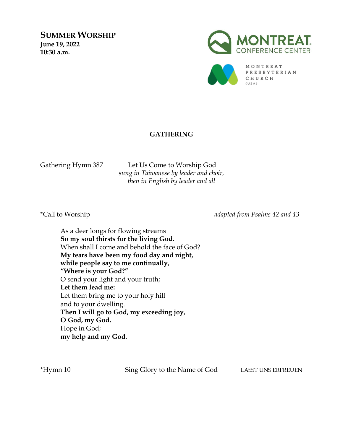**SUMMER WORSHIP June 19, 2022 10:30 a.m.**





## **GATHERING**

Gathering Hymn 387 Let Us Come to Worship God *sung in Taiwanese by leader and choir, then in English by leader and all*

\*Call to Worship *adapted from Psalms 42 and 43*

As a deer longs for flowing streams **So my soul thirsts for the living God.** When shall I come and behold the face of God? **My tears have been my food day and night, while people say to me continually, "Where is your God?"** O send your light and your truth; **Let them lead me:** Let them bring me to your holy hill and to your dwelling. **Then I will go to God, my exceeding joy, O God, my God.** Hope in God; **my help and my God.**

\*Hymn 10 Sing Glory to the Name of God LASST UNS ERFREUEN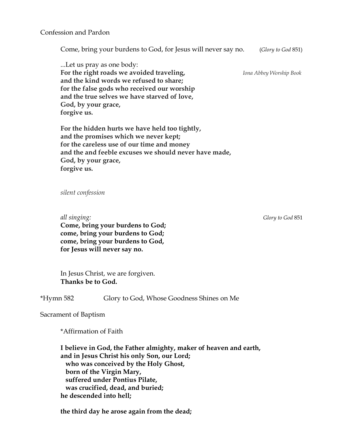Come, bring your burdens to God, for Jesus will never say no. (*Glory to God* 851)

...Let us pray as one body: **For the right roads we avoided traveling,** *Iona Abbey Worship Book* **and the kind words we refused to share; for the false gods who received our worship and the true selves we have starved of love, God, by your grace, forgive us.**

**For the hidden hurts we have held too tightly, and the promises which we never kept; for the careless use of our time and money and the and feeble excuses we should never have made, God, by your grace, forgive us.**

*silent confession*

 *all singing: Glory to God* 851  **Come, bring your burdens to God; come, bring your burdens to God; come, bring your burdens to God, for Jesus will never say no.**

In Jesus Christ, we are forgiven. **Thanks be to God.**

\*Hymn 582 Glory to God, Whose Goodness Shines on Me

Sacrament of Baptism

\*Affirmation of Faith

**I believe in God, the Father almighty, maker of heaven and earth, and in Jesus Christ his only Son, our Lord; who was conceived by the Holy Ghost, born of the Virgin Mary, suffered under Pontius Pilate, was crucified, dead, and buried; he descended into hell;**

**the third day he arose again from the dead;**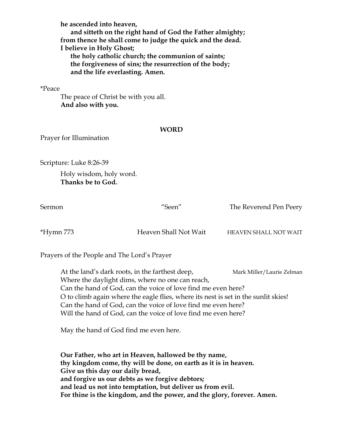**he ascended into heaven, and sitteth on the right hand of God the Father almighty; from thence he shall come to judge the quick and the dead. I believe in Holy Ghost; the holy catholic church; the communion of saints; the forgiveness of sins; the resurrection of the body; and the life everlasting. Amen.**

## \*Peace

The peace of Christ be with you all. **And also with you.**

## **WORD**

Prayer for Illumination

Scripture: Luke 8:26-39

Holy wisdom, holy word. **Thanks be to God.** 

Sermon "Seen" The Reverend Pen Peery

\*Hymn 773 Heaven Shall Not Wait HEAVEN SHALL NOT WAIT

Prayers of the People and The Lord's Prayer

At the land's dark roots, in the farthest deep, Mark Miller/Laurie Zelman Where the daylight dims, where no one can reach, Can the hand of God, can the voice of love find me even here? O to climb again where the eagle flies, where its nest is set in the sunlit skies! Can the hand of God, can the voice of love find me even here? Will the hand of God, can the voice of love find me even here?

May the hand of God find me even here.

**Our Father, who art in Heaven, hallowed be thy name, thy kingdom come, thy will be done, on earth as it is in heaven. Give us this day our daily bread, and forgive us our debts as we forgive debtors; and lead us not into temptation, but deliver us from evil. For thine is the kingdom, and the power, and the glory, forever. Amen.**